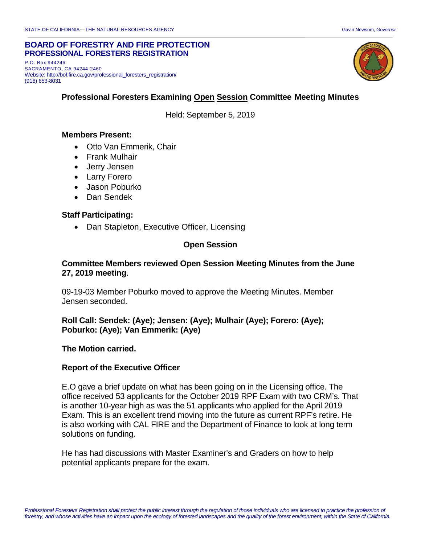#### **BOARD OF FORESTRY AND FIRE PROTECTION PROFESSIONAL FORESTERS REGISTRATION**

P.O. Box 944246 SACRAMENTO, CA 94244-2460 Website: http://bof.fire.ca.gov/professional\_foresters\_registration/ (916) 653-8031



#### **Professional Foresters Examining Open Session Committee Meeting Minutes**

Held: September 5, 2019

#### **Members Present:**

- Otto Van Emmerik, Chair
- Frank Mulhair
- Jerry Jensen
- Larry Forero
- Jason Poburko
- Dan Sendek

#### **Staff Participating:**

• Dan Stapleton, Executive Officer, Licensing

#### **Open Session**

#### **Committee Members reviewed Open Session Meeting Minutes from the June 27, 2019 meeting**.

09-19-03 Member Poburko moved to approve the Meeting Minutes. Member Jensen seconded.

### **Roll Call: Sendek: (Aye); Jensen: (Aye); Mulhair (Aye); Forero: (Aye); Poburko: (Aye); Van Emmerik: (Aye)**

#### **The Motion carried.**

#### **Report of the Executive Officer**

E.O gave a brief update on what has been going on in the Licensing office. The office received 53 applicants for the October 2019 RPF Exam with two CRM's. That is another 10-year high as was the 51 applicants who applied for the April 2019 Exam. This is an excellent trend moving into the future as current RPF's retire. He is also working with CAL FIRE and the Department of Finance to look at long term solutions on funding.

He has had discussions with Master Examiner's and Graders on how to help potential applicants prepare for the exam.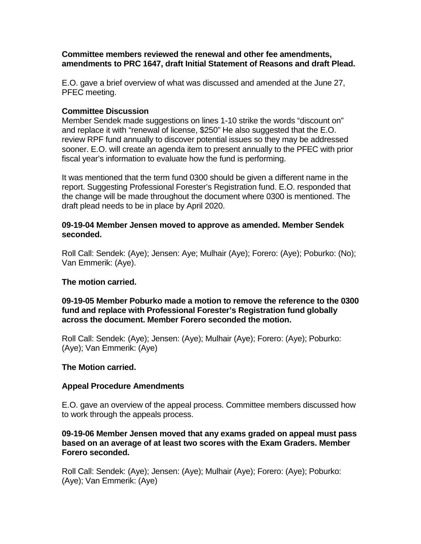#### **Committee members reviewed the renewal and other fee amendments, amendments to PRC 1647, draft Initial Statement of Reasons and draft Plead.**

E.O. gave a brief overview of what was discussed and amended at the June 27, PFEC meeting.

## **Committee Discussion**

Member Sendek made suggestions on lines 1-10 strike the words "discount on" and replace it with "renewal of license, \$250" He also suggested that the E.O. review RPF fund annually to discover potential issues so they may be addressed sooner. E.O. will create an agenda item to present annually to the PFEC with prior fiscal year's information to evaluate how the fund is performing.

It was mentioned that the term fund 0300 should be given a different name in the report. Suggesting Professional Forester's Registration fund. E.O. responded that the change will be made throughout the document where 0300 is mentioned. The draft plead needs to be in place by April 2020.

#### **09-19-04 Member Jensen moved to approve as amended. Member Sendek seconded.**

Roll Call: Sendek: (Aye); Jensen: Aye; Mulhair (Aye); Forero: (Aye); Poburko: (No); Van Emmerik: (Aye).

### **The motion carried.**

### **09-19-05 Member Poburko made a motion to remove the reference to the 0300 fund and replace with Professional Forester's Registration fund globally across the document. Member Forero seconded the motion.**

Roll Call: Sendek: (Aye); Jensen: (Aye); Mulhair (Aye); Forero: (Aye); Poburko: (Aye); Van Emmerik: (Aye)

### **The Motion carried.**

### **Appeal Procedure Amendments**

E.O. gave an overview of the appeal process. Committee members discussed how to work through the appeals process.

#### **09-19-06 Member Jensen moved that any exams graded on appeal must pass based on an average of at least two scores with the Exam Graders. Member Forero seconded.**

Roll Call: Sendek: (Aye); Jensen: (Aye); Mulhair (Aye); Forero: (Aye); Poburko: (Aye); Van Emmerik: (Aye)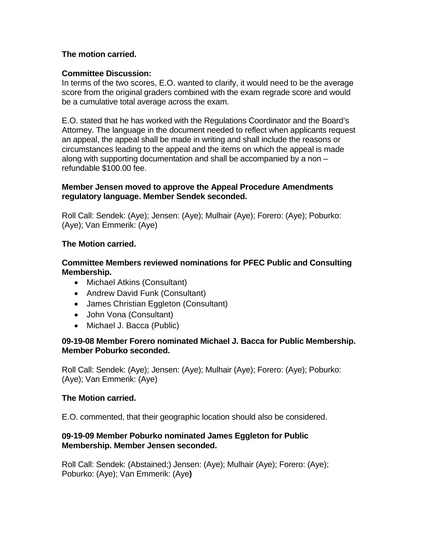## **The motion carried.**

## **Committee Discussion:**

In terms of the two scores, E.O. wanted to clarify, it would need to be the average score from the original graders combined with the exam regrade score and would be a cumulative total average across the exam.

E.O. stated that he has worked with the Regulations Coordinator and the Board's Attorney. The language in the document needed to reflect when applicants request an appeal, the appeal shall be made in writing and shall include the reasons or circumstances leading to the appeal and the items on which the appeal is made along with supporting documentation and shall be accompanied by a non – refundable \$100.00 fee.

## **Member Jensen moved to approve the Appeal Procedure Amendments regulatory language. Member Sendek seconded.**

Roll Call: Sendek: (Aye); Jensen: (Aye); Mulhair (Aye); Forero: (Aye); Poburko: (Aye); Van Emmerik: (Aye)

# **The Motion carried.**

## **Committee Members reviewed nominations for PFEC Public and Consulting Membership.**

- Michael Atkins (Consultant)
- Andrew David Funk (Consultant)
- James Christian Eggleton (Consultant)
- John Vona (Consultant)
- Michael J. Bacca (Public)

### **09-19-08 Member Forero nominated Michael J. Bacca for Public Membership. Member Poburko seconded.**

Roll Call: Sendek: (Aye); Jensen: (Aye); Mulhair (Aye); Forero: (Aye); Poburko: (Aye); Van Emmerik: (Aye)

### **The Motion carried.**

E.O. commented, that their geographic location should also be considered.

## **09-19-09 Member Poburko nominated James Eggleton for Public Membership. Member Jensen seconded.**

Roll Call: Sendek: (Abstained;) Jensen: (Aye); Mulhair (Aye); Forero: (Aye); Poburko: (Aye); Van Emmerik: (Aye**)**